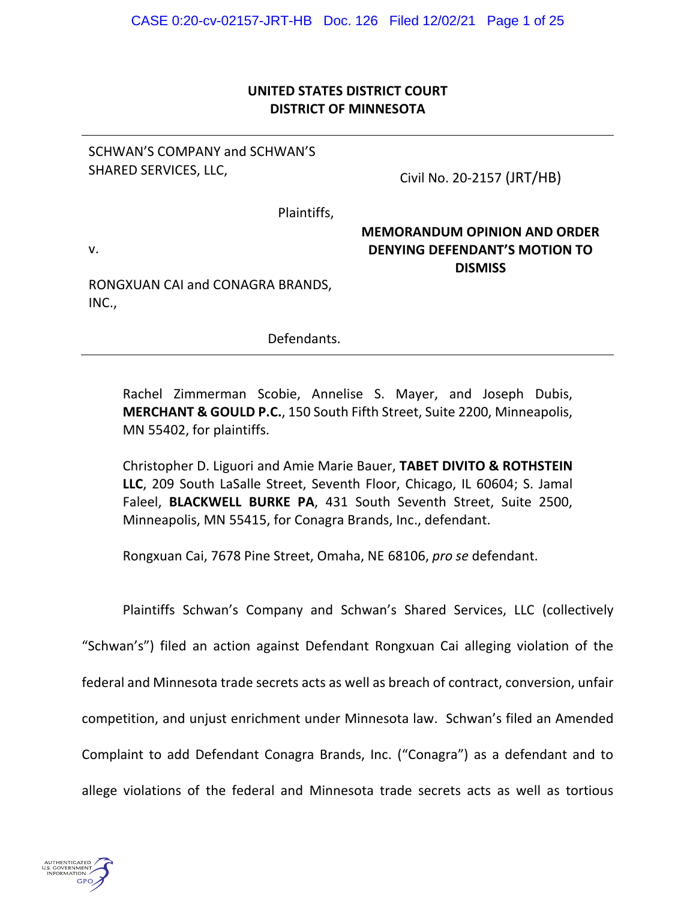# **UNITED STATES DISTRICT COURT DISTRICT OF MINNESOTA**

## SCHWAN'S COMPANY and SCHWAN'S SHARED SERVICES, LLC,

Civil No. 20-2157 (JRT/HB)

Plaintiffs,

v.

## **MEMORANDUM OPINION AND ORDER DENYING DEFENDANT'S MOTION TO DISMISS**

RONGXUAN CAI and CONAGRA BRANDS, INC.,

Defendants.

Rachel Zimmerman Scobie, Annelise S. Mayer, and Joseph Dubis, **MERCHANT & GOULD P.C.**, 150 South Fifth Street, Suite 2200, Minneapolis, MN 55402, for plaintiffs.

Christopher D. Liguori and Amie Marie Bauer, **TABET DIVITO & ROTHSTEIN LLC**, 209 South LaSalle Street, Seventh Floor, Chicago, IL 60604; S. Jamal Faleel, **BLACKWELL BURKE PA**, 431 South Seventh Street, Suite 2500, Minneapolis, MN 55415, for Conagra Brands, Inc., defendant.

Rongxuan Cai, 7678 Pine Street, Omaha, NE 68106, *pro se* defendant.

Plaintiffs Schwan's Company and Schwan's Shared Services, LLC (collectively "Schwan's") filed an action against Defendant Rongxuan Cai alleging violation of the federal and Minnesota trade secrets acts as well as breach of contract, conversion, unfair competition, and unjust enrichment under Minnesota law. Schwan's filed an Amended Complaint to add Defendant Conagra Brands, Inc. ("Conagra") as a defendant and to allege violations of the federal and Minnesota trade secrets acts as well as tortious

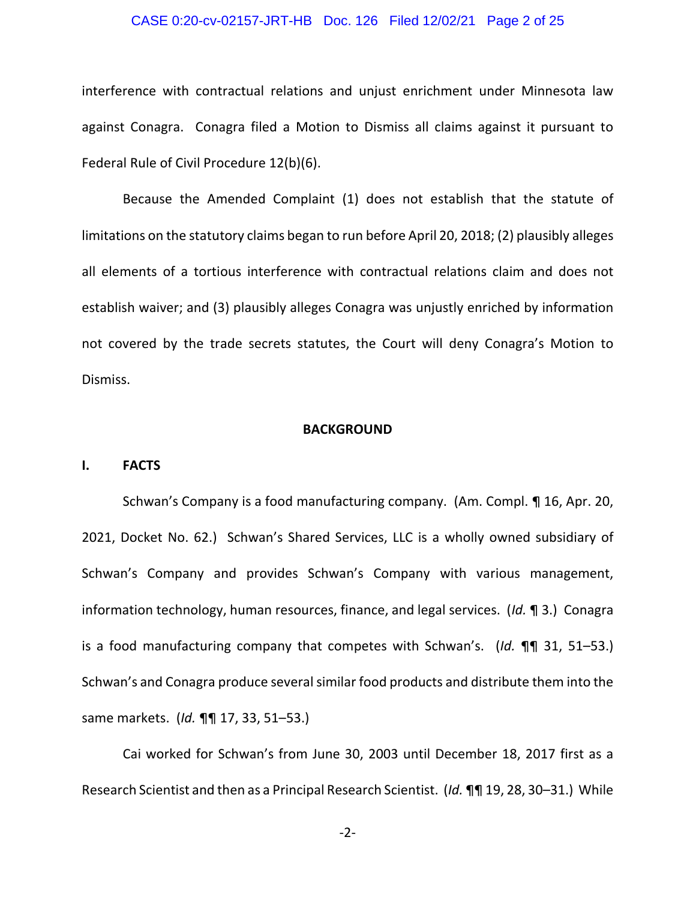#### CASE 0:20-cv-02157-JRT-HB Doc. 126 Filed 12/02/21 Page 2 of 25

interference with contractual relations and unjust enrichment under Minnesota law against Conagra. Conagra filed a Motion to Dismiss all claims against it pursuant to Federal Rule of Civil Procedure 12(b)(6).

Because the Amended Complaint (1) does not establish that the statute of limitations on the statutory claims began to run before April 20, 2018; (2) plausibly alleges all elements of a tortious interference with contractual relations claim and does not establish waiver; and (3) plausibly alleges Conagra was unjustly enriched by information not covered by the trade secrets statutes, the Court will deny Conagra's Motion to Dismiss.

#### **BACKGROUND**

#### **I. FACTS**

Schwan's Company is a food manufacturing company. (Am. Compl. ¶ 16, Apr. 20, 2021, Docket No. 62.) Schwan's Shared Services, LLC is a wholly owned subsidiary of Schwan's Company and provides Schwan's Company with various management, information technology, human resources, finance, and legal services. (*Id.* ¶ 3.) Conagra is a food manufacturing company that competes with Schwan's. (*Id.* ¶¶ 31, 51–53.) Schwan's and Conagra produce several similar food products and distribute them into the same markets. (*Id.* ¶¶ 17, 33, 51–53.)

Cai worked for Schwan's from June 30, 2003 until December 18, 2017 first as a Research Scientist and then as a Principal Research Scientist. (*Id.* ¶¶ 19, 28, 30–31.) While

-2-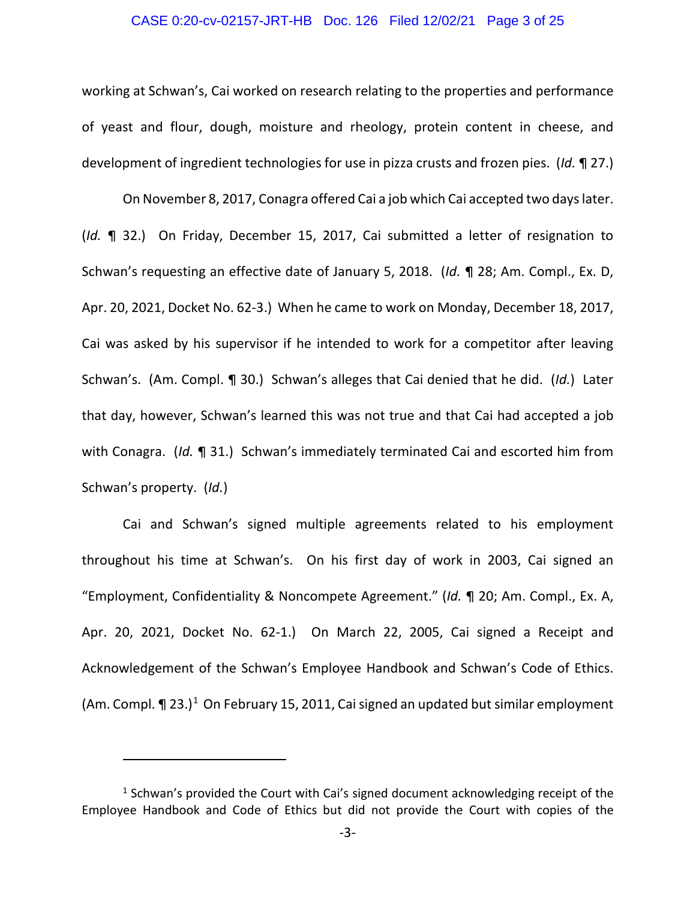#### CASE 0:20-cv-02157-JRT-HB Doc. 126 Filed 12/02/21 Page 3 of 25

working at Schwan's, Cai worked on research relating to the properties and performance of yeast and flour, dough, moisture and rheology, protein content in cheese, and development of ingredient technologies for use in pizza crusts and frozen pies. (*Id.* ¶ 27.)

On November 8, 2017, Conagra offered Cai a job which Cai accepted two days later. (*Id.* ¶ 32.) On Friday, December 15, 2017, Cai submitted a letter of resignation to Schwan's requesting an effective date of January 5, 2018. (*Id.* ¶ 28; Am. Compl., Ex. D, Apr. 20, 2021, Docket No. 62-3.) When he came to work on Monday, December 18, 2017, Cai was asked by his supervisor if he intended to work for a competitor after leaving Schwan's. (Am. Compl. ¶ 30.) Schwan's alleges that Cai denied that he did. (*Id.*) Later that day, however, Schwan's learned this was not true and that Cai had accepted a job with Conagra. (*Id.* ¶ 31.) Schwan's immediately terminated Cai and escorted him from Schwan's property. (*Id.*)

Cai and Schwan's signed multiple agreements related to his employment throughout his time at Schwan's. On his first day of work in 2003, Cai signed an "Employment, Confidentiality & Noncompete Agreement." (*Id.* ¶ 20; Am. Compl., Ex. A, Apr. 20, 2021, Docket No. 62-1.) On March 22, 2005, Cai signed a Receipt and Acknowledgement of the Schwan's Employee Handbook and Schwan's Code of Ethics. (Am. Compl.  $\P$  23.)<sup>[1](#page-2-0)</sup> On February 15, 2011, Cai signed an updated but similar employment

<span id="page-2-0"></span><sup>&</sup>lt;sup>1</sup> Schwan's provided the Court with Cai's signed document acknowledging receipt of the Employee Handbook and Code of Ethics but did not provide the Court with copies of the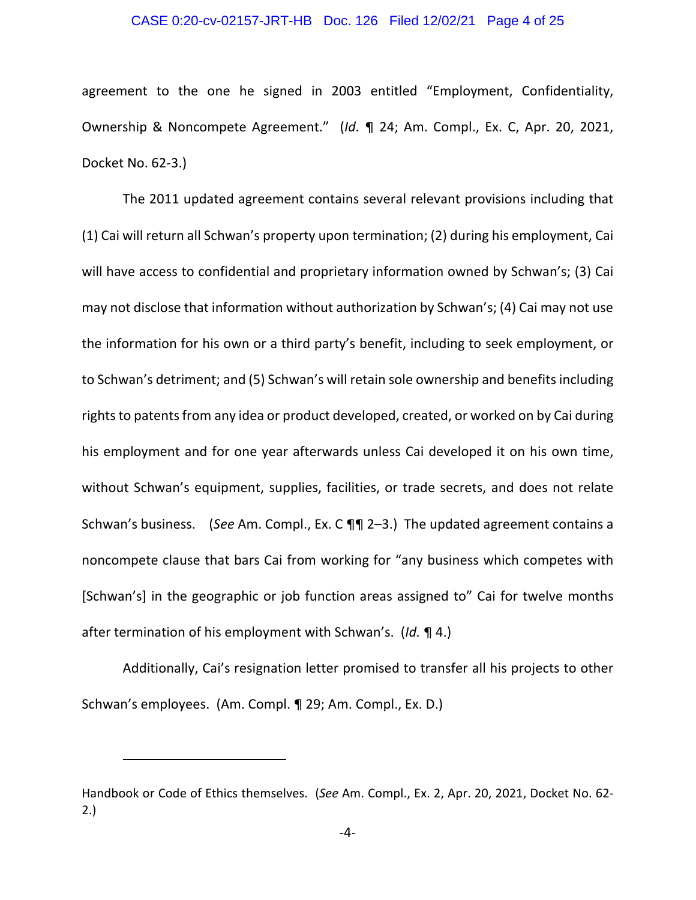#### CASE 0:20-cv-02157-JRT-HB Doc. 126 Filed 12/02/21 Page 4 of 25

agreement to the one he signed in 2003 entitled "Employment, Confidentiality, Ownership & Noncompete Agreement." (*Id.* ¶ 24; Am. Compl., Ex. C, Apr. 20, 2021, Docket No. 62-3.)

The 2011 updated agreement contains several relevant provisions including that (1) Cai will return all Schwan's property upon termination; (2) during his employment, Cai will have access to confidential and proprietary information owned by Schwan's; (3) Cai may not disclose that information without authorization by Schwan's; (4) Cai may not use the information for his own or a third party's benefit, including to seek employment, or to Schwan's detriment; and (5) Schwan's will retain sole ownership and benefits including rights to patents from any idea or product developed, created, or worked on by Cai during his employment and for one year afterwards unless Cai developed it on his own time, without Schwan's equipment, supplies, facilities, or trade secrets, and does not relate Schwan's business. (*See* Am. Compl., Ex. C ¶¶ 2–3.) The updated agreement contains a noncompete clause that bars Cai from working for "any business which competes with [Schwan's] in the geographic or job function areas assigned to" Cai for twelve months after termination of his employment with Schwan's. (*Id.* ¶ 4.)

Additionally, Cai's resignation letter promised to transfer all his projects to other Schwan's employees. (Am. Compl. ¶ 29; Am. Compl., Ex. D.)

Handbook or Code of Ethics themselves. (*See* Am. Compl., Ex. 2, Apr. 20, 2021, Docket No. 62- 2.)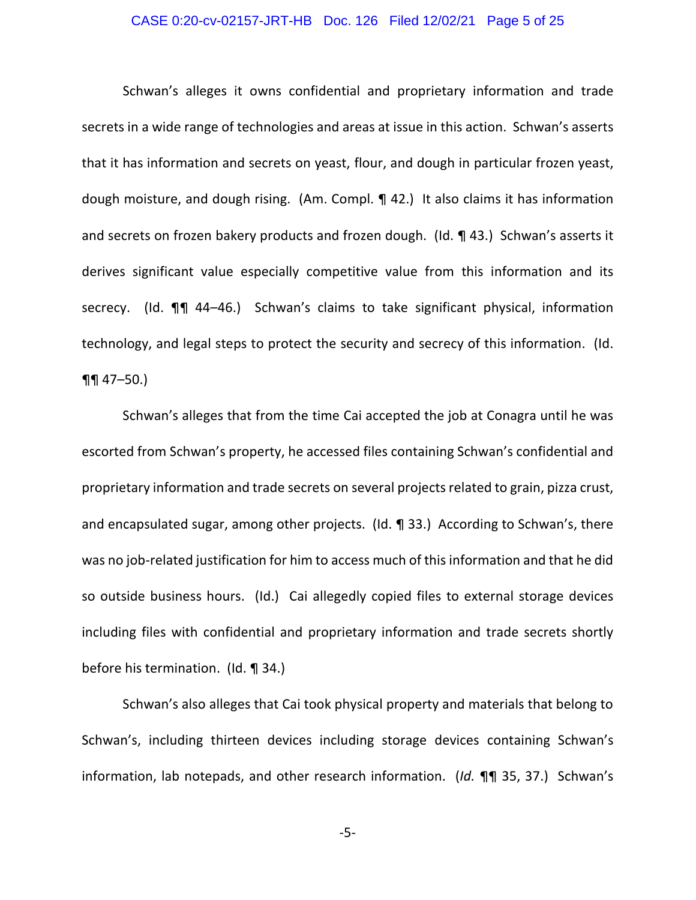#### CASE 0:20-cv-02157-JRT-HB Doc. 126 Filed 12/02/21 Page 5 of 25

Schwan's alleges it owns confidential and proprietary information and trade secrets in a wide range of technologies and areas at issue in this action. Schwan's asserts that it has information and secrets on yeast, flour, and dough in particular frozen yeast, dough moisture, and dough rising. (Am. Compl. ¶ 42.) It also claims it has information and secrets on frozen bakery products and frozen dough. (Id. ¶ 43.) Schwan's asserts it derives significant value especially competitive value from this information and its secrecy. (Id. ¶¶ 44-46.) Schwan's claims to take significant physical, information technology, and legal steps to protect the security and secrecy of this information. (Id.  $\P\P$  47–50.)

Schwan's alleges that from the time Cai accepted the job at Conagra until he was escorted from Schwan's property, he accessed files containing Schwan's confidential and proprietary information and trade secrets on several projects related to grain, pizza crust, and encapsulated sugar, among other projects. (Id. ¶ 33.) According to Schwan's, there was no job-related justification for him to access much of this information and that he did so outside business hours. (Id.) Cai allegedly copied files to external storage devices including files with confidential and proprietary information and trade secrets shortly before his termination. (Id. ¶ 34.)

Schwan's also alleges that Cai took physical property and materials that belong to Schwan's, including thirteen devices including storage devices containing Schwan's information, lab notepads, and other research information. (*Id.* ¶¶ 35, 37.) Schwan's

-5-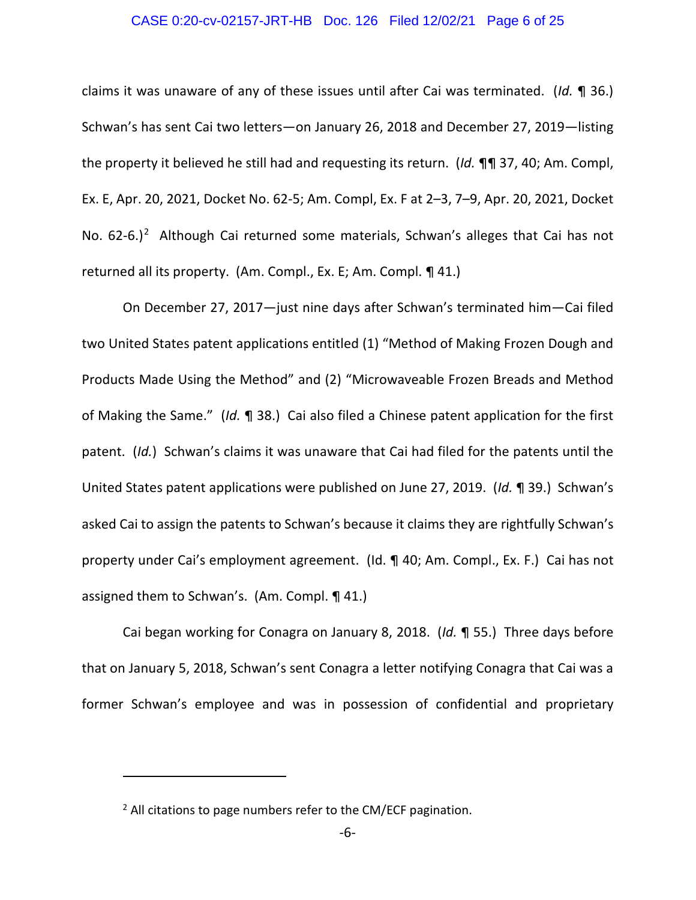#### CASE 0:20-cv-02157-JRT-HB Doc. 126 Filed 12/02/21 Page 6 of 25

claims it was unaware of any of these issues until after Cai was terminated. (*Id.* ¶ 36.) Schwan's has sent Cai two letters—on January 26, 2018 and December 27, 2019—listing the property it believed he still had and requesting its return. (*Id.* ¶¶ 37, 40; Am. Compl, Ex. E, Apr. 20, 2021, Docket No. 62-5; Am. Compl, Ex. F at 2–3, 7–9, Apr. 20, 2021, Docket No.  $62-6.$  $62-6.$  $62-6.$ )<sup>2</sup> Although Cai returned some materials, Schwan's alleges that Cai has not returned all its property. (Am. Compl., Ex. E; Am. Compl. ¶ 41.)

On December 27, 2017—just nine days after Schwan's terminated him—Cai filed two United States patent applications entitled (1) "Method of Making Frozen Dough and Products Made Using the Method" and (2) "Microwaveable Frozen Breads and Method of Making the Same." (*Id.* ¶ 38.) Cai also filed a Chinese patent application for the first patent. (*Id.*) Schwan's claims it was unaware that Cai had filed for the patents until the United States patent applications were published on June 27, 2019. (*Id.* ¶ 39.) Schwan's asked Cai to assign the patents to Schwan's because it claims they are rightfully Schwan's property under Cai's employment agreement. (Id. ¶ 40; Am. Compl., Ex. F.) Cai has not assigned them to Schwan's. (Am. Compl. ¶ 41.)

Cai began working for Conagra on January 8, 2018. (*Id.* ¶ 55.) Three days before that on January 5, 2018, Schwan's sent Conagra a letter notifying Conagra that Cai was a former Schwan's employee and was in possession of confidential and proprietary

<span id="page-5-0"></span><sup>&</sup>lt;sup>2</sup> All citations to page numbers refer to the CM/ECF pagination.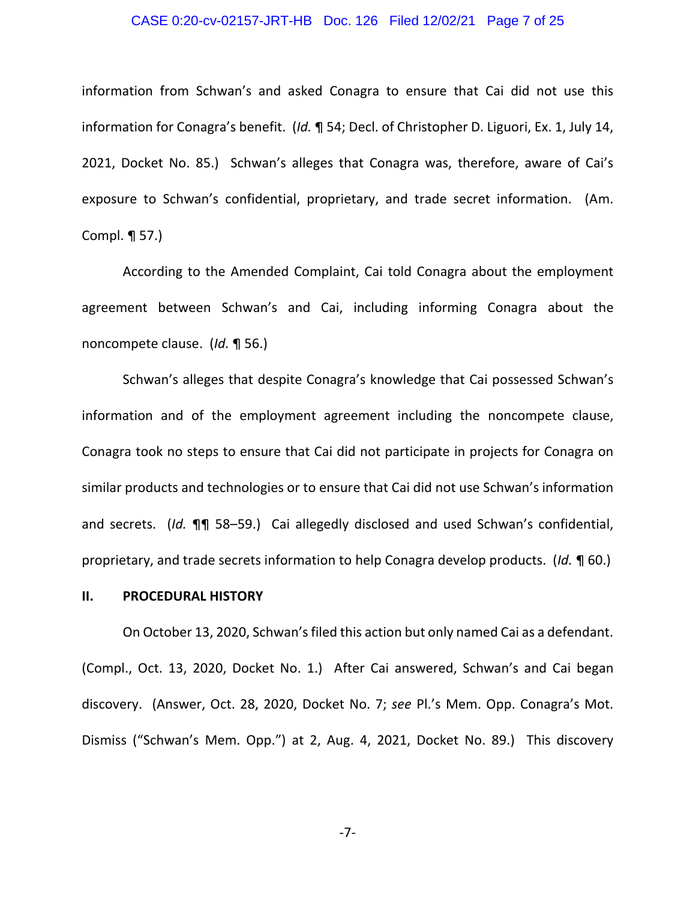#### CASE 0:20-cv-02157-JRT-HB Doc. 126 Filed 12/02/21 Page 7 of 25

information from Schwan's and asked Conagra to ensure that Cai did not use this information for Conagra's benefit. (*Id.* ¶ 54; Decl. of Christopher D. Liguori, Ex. 1, July 14, 2021, Docket No. 85.) Schwan's alleges that Conagra was, therefore, aware of Cai's exposure to Schwan's confidential, proprietary, and trade secret information. (Am. Compl. ¶ 57.)

According to the Amended Complaint, Cai told Conagra about the employment agreement between Schwan's and Cai, including informing Conagra about the noncompete clause. (*Id.* ¶ 56.)

Schwan's alleges that despite Conagra's knowledge that Cai possessed Schwan's information and of the employment agreement including the noncompete clause, Conagra took no steps to ensure that Cai did not participate in projects for Conagra on similar products and technologies or to ensure that Cai did not use Schwan's information and secrets. (*Id.* ¶¶ 58–59.) Cai allegedly disclosed and used Schwan's confidential, proprietary, and trade secrets information to help Conagra develop products. (*Id.* ¶ 60.)

## **II. PROCEDURAL HISTORY**

On October 13, 2020, Schwan's filed this action but only named Cai as a defendant. (Compl., Oct. 13, 2020, Docket No. 1.) After Cai answered, Schwan's and Cai began discovery. (Answer, Oct. 28, 2020, Docket No. 7; *see* Pl.'s Mem. Opp. Conagra's Mot. Dismiss ("Schwan's Mem. Opp.") at 2, Aug. 4, 2021, Docket No. 89.) This discovery

-7-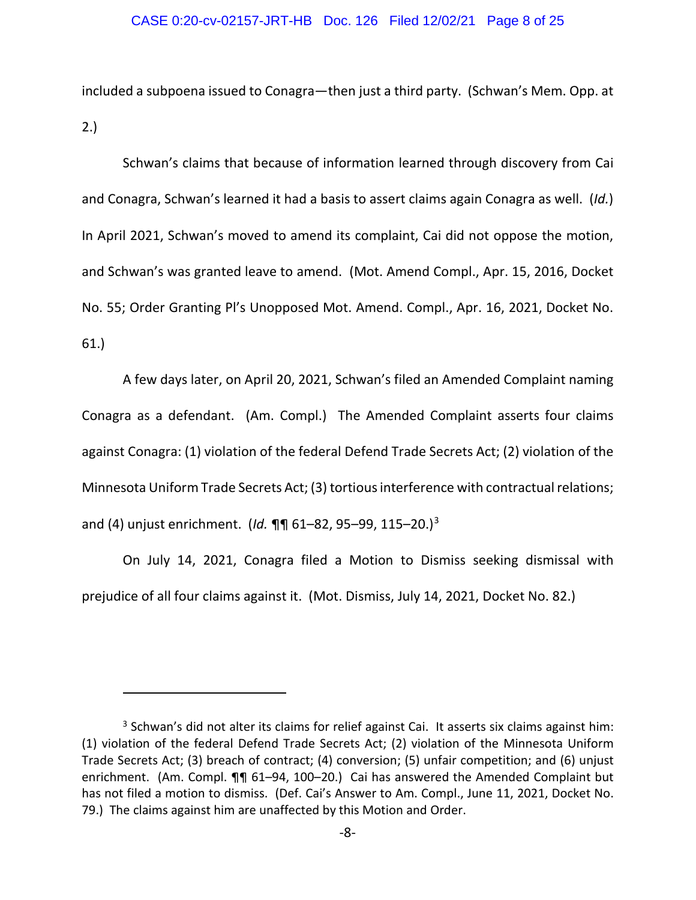included a subpoena issued to Conagra—then just a third party. (Schwan's Mem. Opp. at 2.)

Schwan's claims that because of information learned through discovery from Cai and Conagra, Schwan's learned it had a basis to assert claims again Conagra as well. (*Id.*) In April 2021, Schwan's moved to amend its complaint, Cai did not oppose the motion, and Schwan's was granted leave to amend. (Mot. Amend Compl., Apr. 15, 2016, Docket No. 55; Order Granting Pl's Unopposed Mot. Amend. Compl., Apr. 16, 2021, Docket No. 61.)

A few days later, on April 20, 2021, Schwan's filed an Amended Complaint naming Conagra as a defendant. (Am. Compl.) The Amended Complaint asserts four claims against Conagra: (1) violation of the federal Defend Trade Secrets Act; (2) violation of the Minnesota Uniform Trade Secrets Act; (3) tortious interference with contractual relations; and (4) unjust enrichment. (*Id.* ¶¶ 61–82, 95–99, 115–20.)[3](#page-7-0)

On July 14, 2021, Conagra filed a Motion to Dismiss seeking dismissal with prejudice of all four claims against it. (Mot. Dismiss, July 14, 2021, Docket No. 82.)

<span id="page-7-0"></span><sup>&</sup>lt;sup>3</sup> Schwan's did not alter its claims for relief against Cai. It asserts six claims against him: (1) violation of the federal Defend Trade Secrets Act; (2) violation of the Minnesota Uniform Trade Secrets Act; (3) breach of contract; (4) conversion; (5) unfair competition; and (6) unjust enrichment. (Am. Compl. ¶¶ 61-94, 100-20.) Cai has answered the Amended Complaint but has not filed a motion to dismiss. (Def. Cai's Answer to Am. Compl., June 11, 2021, Docket No. 79.) The claims against him are unaffected by this Motion and Order.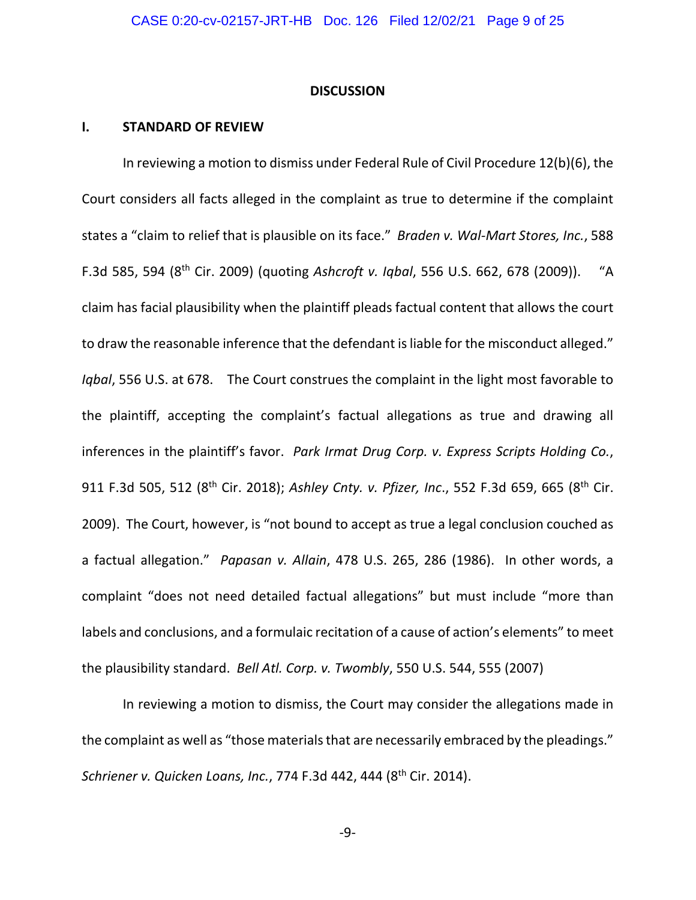#### **DISCUSSION**

### **I. STANDARD OF REVIEW**

In reviewing a motion to dismiss under Federal Rule of Civil Procedure 12(b)(6), the Court considers all facts alleged in the complaint as true to determine if the complaint states a "claim to relief that is plausible on its face." *Braden v. Wal-Mart Stores, Inc.*, 588 F.3d 585, 594 (8th Cir. 2009) (quoting *Ashcroft v. Iqbal*, 556 U.S. 662, 678 (2009)). "A claim has facial plausibility when the plaintiff pleads factual content that allows the court to draw the reasonable inference that the defendant is liable for the misconduct alleged." *Iqbal*, 556 U.S. at 678. The Court construes the complaint in the light most favorable to the plaintiff, accepting the complaint's factual allegations as true and drawing all inferences in the plaintiff's favor. *Park Irmat Drug Corp. v. Express Scripts Holding Co.*, 911 F.3d 505, 512 (8th Cir. 2018); *Ashley Cnty. v. Pfizer, Inc*., 552 F.3d 659, 665 (8th Cir. 2009). The Court, however, is "not bound to accept as true a legal conclusion couched as a factual allegation." *Papasan v. Allain*, 478 U.S. 265, 286 (1986). In other words, a complaint "does not need detailed factual allegations" but must include "more than labels and conclusions, and a formulaic recitation of a cause of action's elements" to meet the plausibility standard. *Bell Atl. Corp. v. Twombly*, 550 U.S. 544, 555 (2007)

In reviewing a motion to dismiss, the Court may consider the allegations made in the complaint as well as "those materials that are necessarily embraced by the pleadings." *Schriener v. Quicken Loans, Inc.*, 774 F.3d 442, 444 (8th Cir. 2014).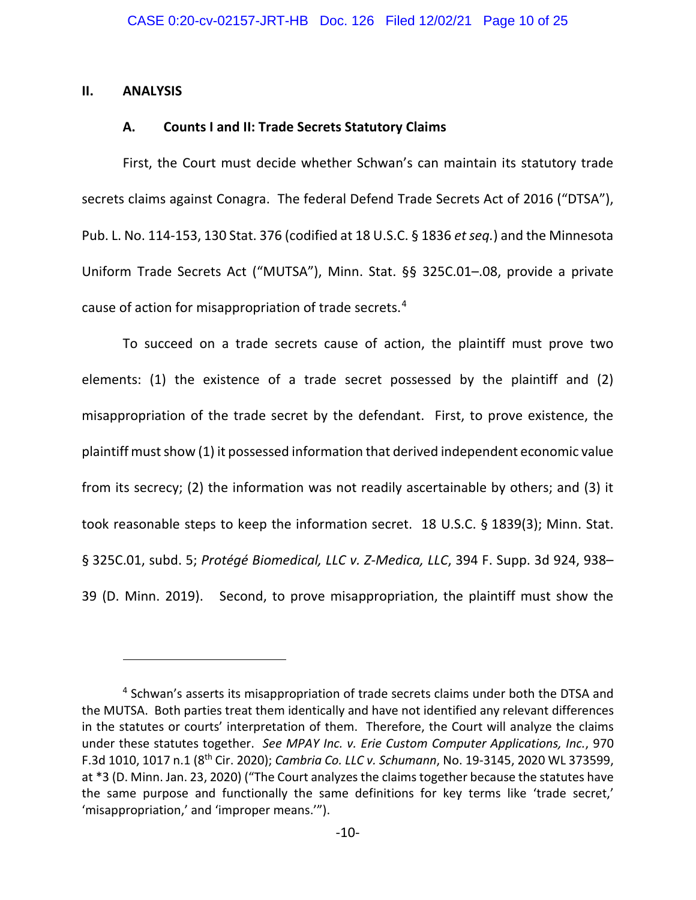### **II. ANALYSIS**

## **A. Counts I and II: Trade Secrets Statutory Claims**

First, the Court must decide whether Schwan's can maintain its statutory trade secrets claims against Conagra. The federal Defend Trade Secrets Act of 2016 ("DTSA"), Pub. L. No. 114-153, 130 Stat. 376 (codified at 18 U.S.C. § 1836 *et seq.*) and the Minnesota Uniform Trade Secrets Act ("MUTSA"), Minn. Stat. §§ 325C.01–.08, provide a private cause of action for misappropriation of trade secrets.[4](#page-9-0)

To succeed on a trade secrets cause of action, the plaintiff must prove two elements: (1) the existence of a trade secret possessed by the plaintiff and (2) misappropriation of the trade secret by the defendant. First, to prove existence, the plaintiff must show (1) it possessed information that derived independent economic value from its secrecy; (2) the information was not readily ascertainable by others; and (3) it took reasonable steps to keep the information secret. 18 U.S.C. § 1839(3); Minn. Stat. § 325C.01, subd. 5; *Protégé Biomedical, LLC v. Z-Medica, LLC*, 394 F. Supp. 3d 924, 938– 39 (D. Minn. 2019). Second, to prove misappropriation, the plaintiff must show the

<span id="page-9-0"></span><sup>&</sup>lt;sup>4</sup> Schwan's asserts its misappropriation of trade secrets claims under both the DTSA and the MUTSA. Both parties treat them identically and have not identified any relevant differences in the statutes or courts' interpretation of them. Therefore, the Court will analyze the claims under these statutes together. *See MPAY Inc. v. Erie Custom Computer Applications, Inc.*, 970 F.3d 1010, 1017 n.1 (8th Cir. 2020); *Cambria Co. LLC v. Schumann*, No. 19-3145, 2020 WL 373599, at \*3 (D. Minn. Jan. 23, 2020) ("The Court analyzes the claims together because the statutes have the same purpose and functionally the same definitions for key terms like 'trade secret,' 'misappropriation,' and 'improper means.'").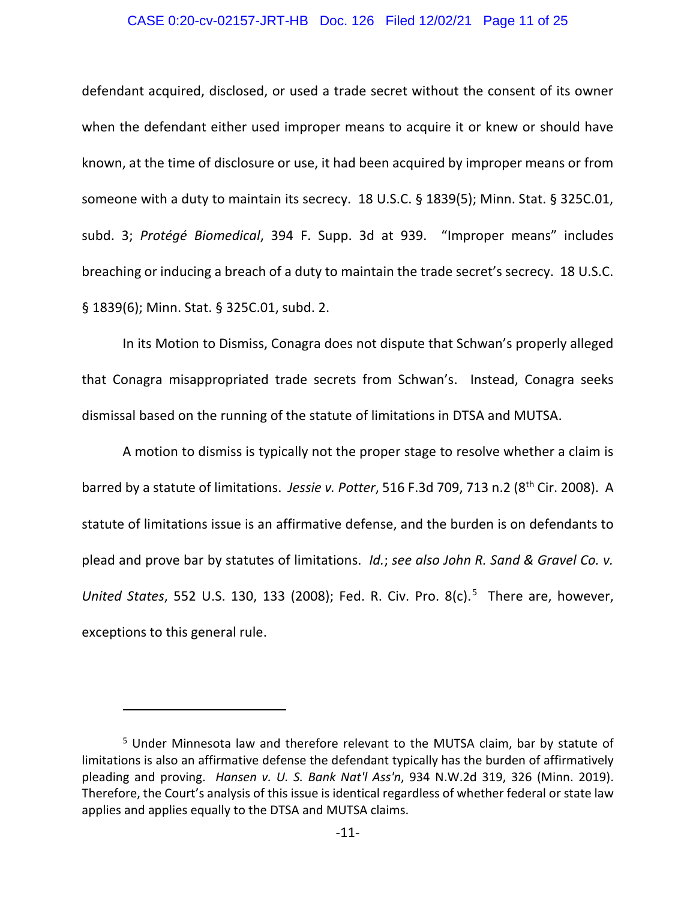#### CASE 0:20-cv-02157-JRT-HB Doc. 126 Filed 12/02/21 Page 11 of 25

defendant acquired, disclosed, or used a trade secret without the consent of its owner when the defendant either used improper means to acquire it or knew or should have known, at the time of disclosure or use, it had been acquired by improper means or from someone with a duty to maintain its secrecy. 18 U.S.C. § 1839(5); Minn. Stat. § 325C.01, subd. 3; *Protégé Biomedical*, 394 F. Supp. 3d at 939. "Improper means" includes breaching or inducing a breach of a duty to maintain the trade secret's secrecy. 18 U.S.C. § 1839(6); Minn. Stat. § 325C.01, subd. 2.

In its Motion to Dismiss, Conagra does not dispute that Schwan's properly alleged that Conagra misappropriated trade secrets from Schwan's. Instead, Conagra seeks dismissal based on the running of the statute of limitations in DTSA and MUTSA.

A motion to dismiss is typically not the proper stage to resolve whether a claim is barred by a statute of limitations. *Jessie v. Potter*, 516 F.3d 709, 713 n.2 (8<sup>th</sup> Cir. 2008). A statute of limitations issue is an affirmative defense, and the burden is on defendants to plead and prove bar by statutes of limitations. *Id.*; *see also John R. Sand & Gravel Co. v.*  United States, [5](#page-10-0)52 U.S. 130, 133 (2008); Fed. R. Civ. Pro. 8(c).<sup>5</sup> There are, however, exceptions to this general rule.

<span id="page-10-0"></span><sup>&</sup>lt;sup>5</sup> Under Minnesota law and therefore relevant to the MUTSA claim, bar by statute of limitations is also an affirmative defense the defendant typically has the burden of affirmatively pleading and proving. *Hansen v. U. S. Bank Nat'l Ass'n*, 934 N.W.2d 319, 326 (Minn. 2019). Therefore, the Court's analysis of this issue is identical regardless of whether federal or state law applies and applies equally to the DTSA and MUTSA claims.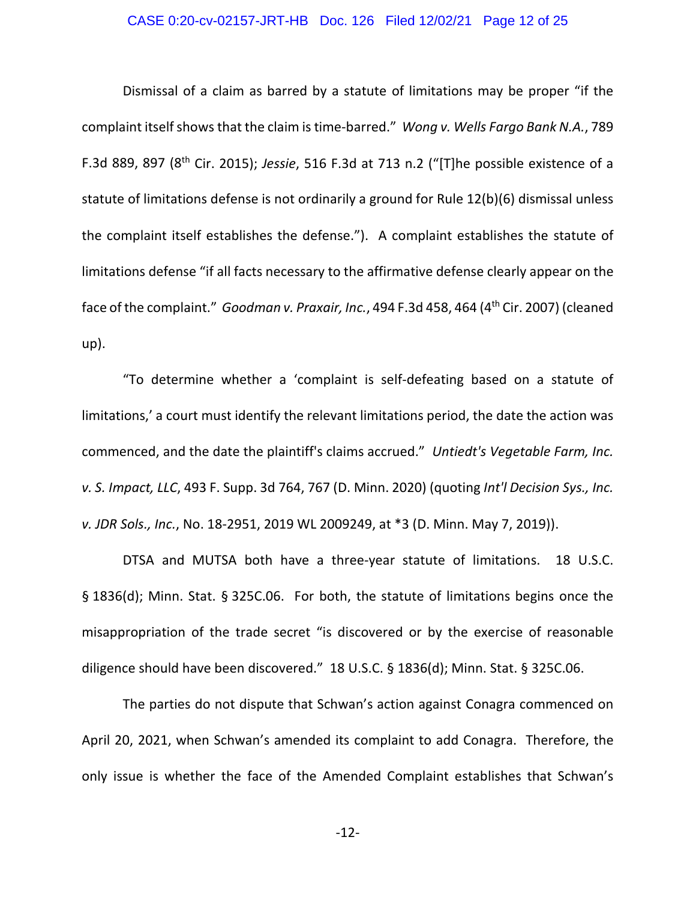## CASE 0:20-cv-02157-JRT-HB Doc. 126 Filed 12/02/21 Page 12 of 25

Dismissal of a claim as barred by a statute of limitations may be proper "if the complaint itself shows that the claim is time-barred." *Wong v. Wells Fargo Bank N.A.*, 789 F.3d 889, 897 (8th Cir. 2015); *Jessie*, 516 F.3d at 713 n.2 ("[T]he possible existence of a statute of limitations defense is not ordinarily a ground for Rule 12(b)(6) dismissal unless the complaint itself establishes the defense."). A complaint establishes the statute of limitations defense "if all facts necessary to the affirmative defense clearly appear on the face of the complaint." *Goodman v. Praxair, Inc.*, 494 F.3d 458, 464 (4<sup>th</sup> Cir. 2007) (cleaned up).

"To determine whether a 'complaint is self-defeating based on a statute of limitations,' a court must identify the relevant limitations period, the date the action was commenced, and the date the plaintiff's claims accrued." *Untiedt's Vegetable Farm, Inc. v. S. Impact, LLC*, 493 F. Supp. 3d 764, 767 (D. Minn. 2020) (quoting *Int'l Decision Sys., Inc. v. JDR Sols., Inc.*, No. 18-2951, 2019 WL 2009249, at \*3 (D. Minn. May 7, 2019)).

DTSA and MUTSA both have a three-year statute of limitations. 18 U.S.C. § 1836(d); Minn. Stat. § 325C.06. For both, the statute of limitations begins once the misappropriation of the trade secret "is discovered or by the exercise of reasonable diligence should have been discovered." 18 U.S.C. § 1836(d); Minn. Stat. § 325C.06.

The parties do not dispute that Schwan's action against Conagra commenced on April 20, 2021, when Schwan's amended its complaint to add Conagra. Therefore, the only issue is whether the face of the Amended Complaint establishes that Schwan's

-12-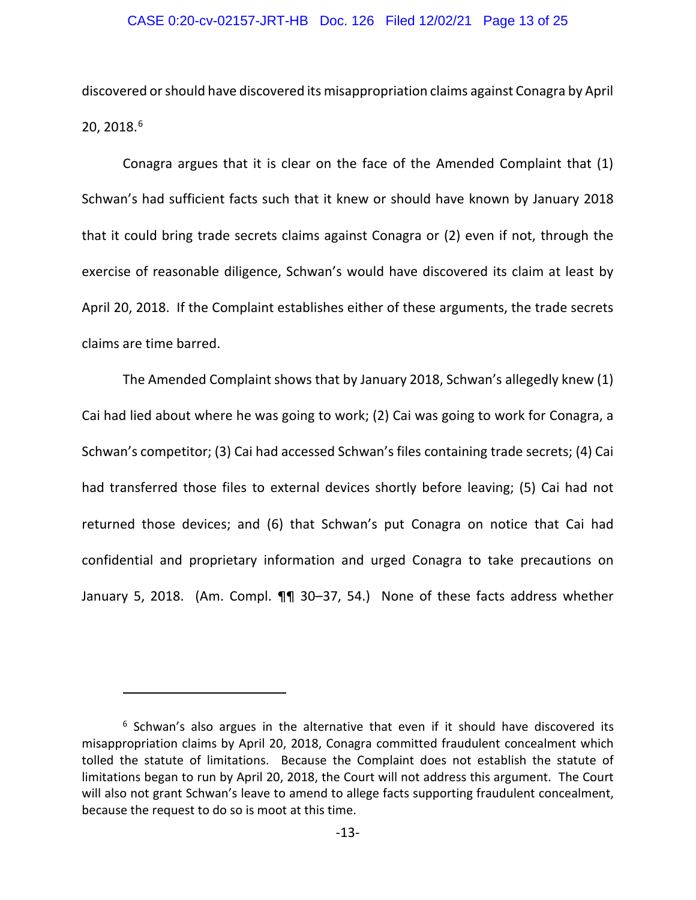#### CASE 0:20-cv-02157-JRT-HB Doc. 126 Filed 12/02/21 Page 13 of 25

discovered or should have discovered its misappropriation claims against Conagra by April 20, 2018.<sup>[6](#page-12-0)</sup>

Conagra argues that it is clear on the face of the Amended Complaint that (1) Schwan's had sufficient facts such that it knew or should have known by January 2018 that it could bring trade secrets claims against Conagra or (2) even if not, through the exercise of reasonable diligence, Schwan's would have discovered its claim at least by April 20, 2018. If the Complaint establishes either of these arguments, the trade secrets claims are time barred.

The Amended Complaint shows that by January 2018, Schwan's allegedly knew (1) Cai had lied about where he was going to work; (2) Cai was going to work for Conagra, a Schwan's competitor; (3) Cai had accessed Schwan's files containing trade secrets; (4) Cai had transferred those files to external devices shortly before leaving; (5) Cai had not returned those devices; and (6) that Schwan's put Conagra on notice that Cai had confidential and proprietary information and urged Conagra to take precautions on January 5, 2018. (Am. Compl. ¶¶ 30–37, 54.) None of these facts address whether

<span id="page-12-0"></span> $6$  Schwan's also argues in the alternative that even if it should have discovered its misappropriation claims by April 20, 2018, Conagra committed fraudulent concealment which tolled the statute of limitations. Because the Complaint does not establish the statute of limitations began to run by April 20, 2018, the Court will not address this argument. The Court will also not grant Schwan's leave to amend to allege facts supporting fraudulent concealment, because the request to do so is moot at this time.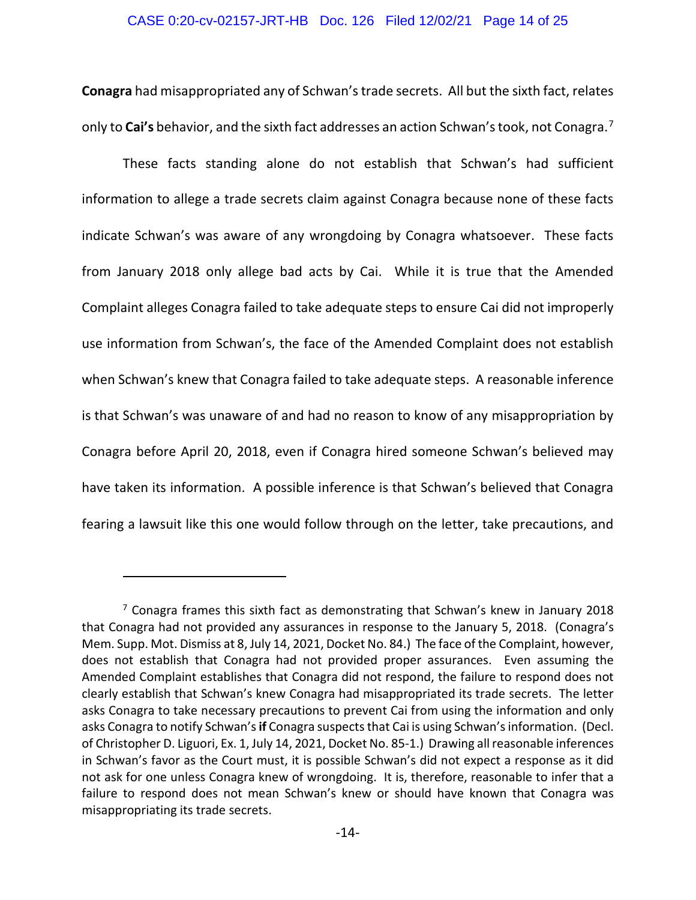#### CASE 0:20-cv-02157-JRT-HB Doc. 126 Filed 12/02/21 Page 14 of 25

**Conagra** had misappropriated any of Schwan's trade secrets. All but the sixth fact, relates only to **Cai's** behavior, and the sixth fact addresses an action Schwan's took, not Conagra.[7](#page-13-0)

These facts standing alone do not establish that Schwan's had sufficient information to allege a trade secrets claim against Conagra because none of these facts indicate Schwan's was aware of any wrongdoing by Conagra whatsoever. These facts from January 2018 only allege bad acts by Cai. While it is true that the Amended Complaint alleges Conagra failed to take adequate steps to ensure Cai did not improperly use information from Schwan's, the face of the Amended Complaint does not establish when Schwan's knew that Conagra failed to take adequate steps. A reasonable inference is that Schwan's was unaware of and had no reason to know of any misappropriation by Conagra before April 20, 2018, even if Conagra hired someone Schwan's believed may have taken its information. A possible inference is that Schwan's believed that Conagra fearing a lawsuit like this one would follow through on the letter, take precautions, and

<span id="page-13-0"></span><sup>7</sup> Conagra frames this sixth fact as demonstrating that Schwan's knew in January 2018 that Conagra had not provided any assurances in response to the January 5, 2018. (Conagra's Mem. Supp. Mot. Dismiss at 8, July 14, 2021, Docket No. 84.) The face of the Complaint, however, does not establish that Conagra had not provided proper assurances. Even assuming the Amended Complaint establishes that Conagra did not respond, the failure to respond does not clearly establish that Schwan's knew Conagra had misappropriated its trade secrets. The letter asks Conagra to take necessary precautions to prevent Cai from using the information and only asks Conagra to notify Schwan's **if** Conagra suspects that Cai is using Schwan's information. (Decl. of Christopher D. Liguori, Ex. 1, July 14, 2021, Docket No. 85-1.) Drawing all reasonable inferences in Schwan's favor as the Court must, it is possible Schwan's did not expect a response as it did not ask for one unless Conagra knew of wrongdoing. It is, therefore, reasonable to infer that a failure to respond does not mean Schwan's knew or should have known that Conagra was misappropriating its trade secrets.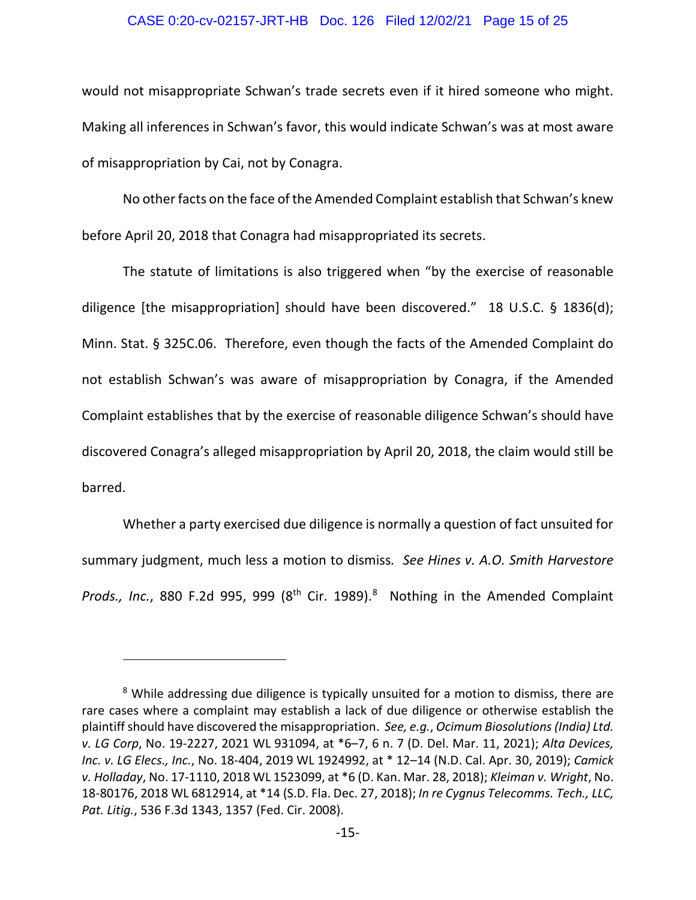#### CASE 0:20-cv-02157-JRT-HB Doc. 126 Filed 12/02/21 Page 15 of 25

would not misappropriate Schwan's trade secrets even if it hired someone who might. Making all inferences in Schwan's favor, this would indicate Schwan's was at most aware of misappropriation by Cai, not by Conagra.

No other facts on the face of the Amended Complaint establish that Schwan's knew before April 20, 2018 that Conagra had misappropriated its secrets.

The statute of limitations is also triggered when "by the exercise of reasonable diligence [the misappropriation] should have been discovered." 18 U.S.C. § 1836(d); Minn. Stat. § 325C.06. Therefore, even though the facts of the Amended Complaint do not establish Schwan's was aware of misappropriation by Conagra, if the Amended Complaint establishes that by the exercise of reasonable diligence Schwan's should have discovered Conagra's alleged misappropriation by April 20, 2018, the claim would still be barred.

Whether a party exercised due diligence is normally a question of fact unsuited for summary judgment, much less a motion to dismiss*. See Hines v. A.O. Smith Harvestore*  Prods., Inc., [8](#page-14-0)80 F.2d 995, 999 (8<sup>th</sup> Cir. 1989).<sup>8</sup> Nothing in the Amended Complaint

<span id="page-14-0"></span><sup>&</sup>lt;sup>8</sup> While addressing due diligence is typically unsuited for a motion to dismiss, there are rare cases where a complaint may establish a lack of due diligence or otherwise establish the plaintiff should have discovered the misappropriation. *See, e.g.*, *Ocimum Biosolutions (India) Ltd. v. LG Corp*, No. 19-2227, 2021 WL 931094, at \*6–7, 6 n. 7 (D. Del. Mar. 11, 2021); *Alta Devices, Inc. v. LG Elecs., Inc.*, No. 18-404, 2019 WL 1924992, at \* 12–14 (N.D. Cal. Apr. 30, 2019); *Camick v. Holladay*, No. 17-1110, 2018 WL 1523099, at \*6 (D. Kan. Mar. 28, 2018); *Kleiman v. Wright*, No. 18-80176, 2018 WL 6812914, at \*14 (S.D. Fla. Dec. 27, 2018); *In re Cygnus Telecomms. Tech., LLC, Pat. Litig.*, 536 F.3d 1343, 1357 (Fed. Cir. 2008).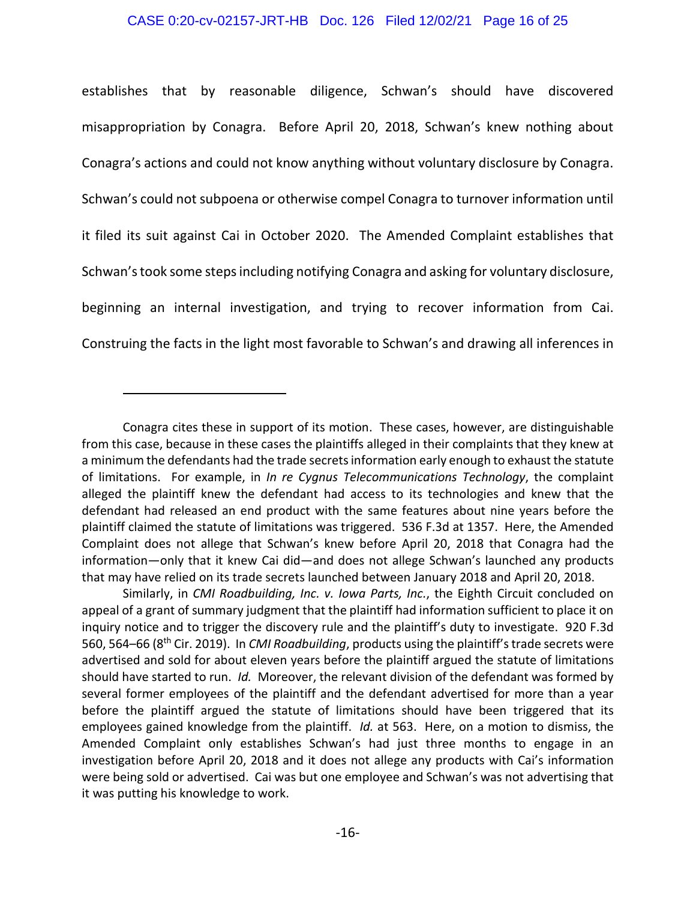### CASE 0:20-cv-02157-JRT-HB Doc. 126 Filed 12/02/21 Page 16 of 25

establishes that by reasonable diligence, Schwan's should have discovered misappropriation by Conagra. Before April 20, 2018, Schwan's knew nothing about Conagra's actions and could not know anything without voluntary disclosure by Conagra. Schwan's could not subpoena or otherwise compel Conagra to turnover information until it filed its suit against Cai in October 2020. The Amended Complaint establishes that Schwan's took some steps including notifying Conagra and asking for voluntary disclosure, beginning an internal investigation, and trying to recover information from Cai. Construing the facts in the light most favorable to Schwan's and drawing all inferences in

Similarly, in *CMI Roadbuilding, Inc. v. Iowa Parts, Inc.*, the Eighth Circuit concluded on appeal of a grant of summary judgment that the plaintiff had information sufficient to place it on inquiry notice and to trigger the discovery rule and the plaintiff's duty to investigate. 920 F.3d 560, 564–66 (8th Cir. 2019). In *CMI Roadbuilding*, products using the plaintiff's trade secrets were advertised and sold for about eleven years before the plaintiff argued the statute of limitations should have started to run. *Id.* Moreover, the relevant division of the defendant was formed by several former employees of the plaintiff and the defendant advertised for more than a year before the plaintiff argued the statute of limitations should have been triggered that its employees gained knowledge from the plaintiff. *Id.* at 563. Here, on a motion to dismiss, the Amended Complaint only establishes Schwan's had just three months to engage in an investigation before April 20, 2018 and it does not allege any products with Cai's information were being sold or advertised. Cai was but one employee and Schwan's was not advertising that it was putting his knowledge to work.

Conagra cites these in support of its motion. These cases, however, are distinguishable from this case, because in these cases the plaintiffs alleged in their complaints that they knew at a minimum the defendants had the trade secrets information early enough to exhaust the statute of limitations. For example, in *In re Cygnus Telecommunications Technology*, the complaint alleged the plaintiff knew the defendant had access to its technologies and knew that the defendant had released an end product with the same features about nine years before the plaintiff claimed the statute of limitations was triggered. 536 F.3d at 1357. Here, the Amended Complaint does not allege that Schwan's knew before April 20, 2018 that Conagra had the information—only that it knew Cai did—and does not allege Schwan's launched any products that may have relied on its trade secrets launched between January 2018 and April 20, 2018.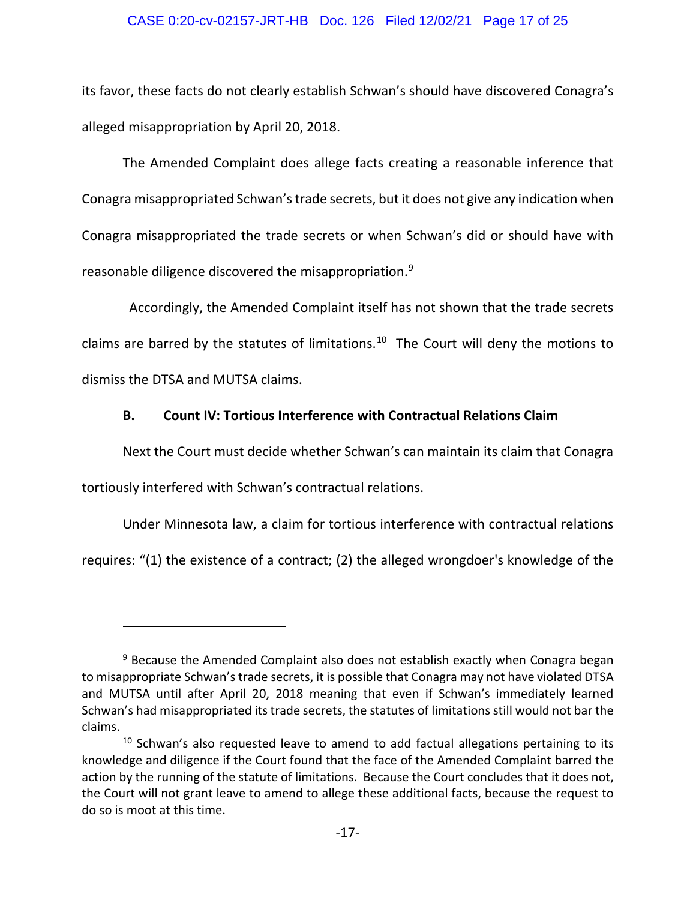### CASE 0:20-cv-02157-JRT-HB Doc. 126 Filed 12/02/21 Page 17 of 25

its favor, these facts do not clearly establish Schwan's should have discovered Conagra's alleged misappropriation by April 20, 2018.

The Amended Complaint does allege facts creating a reasonable inference that Conagra misappropriated Schwan's trade secrets, but it does not give any indication when Conagra misappropriated the trade secrets or when Schwan's did or should have with reasonable diligence discovered the misappropriation.[9](#page-16-0)

 Accordingly, the Amended Complaint itself has not shown that the trade secrets claims are barred by the statutes of limitations.<sup>[10](#page-16-1)</sup> The Court will deny the motions to dismiss the DTSA and MUTSA claims.

## **B. Count IV: Tortious Interference with Contractual Relations Claim**

Next the Court must decide whether Schwan's can maintain its claim that Conagra tortiously interfered with Schwan's contractual relations.

Under Minnesota law, a claim for tortious interference with contractual relations

requires: "(1) the existence of a contract; (2) the alleged wrongdoer's knowledge of the

<span id="page-16-0"></span><sup>&</sup>lt;sup>9</sup> Because the Amended Complaint also does not establish exactly when Conagra began to misappropriate Schwan's trade secrets, it is possible that Conagra may not have violated DTSA and MUTSA until after April 20, 2018 meaning that even if Schwan's immediately learned Schwan's had misappropriated its trade secrets, the statutes of limitations still would not bar the claims.

<span id="page-16-1"></span><sup>&</sup>lt;sup>10</sup> Schwan's also requested leave to amend to add factual allegations pertaining to its knowledge and diligence if the Court found that the face of the Amended Complaint barred the action by the running of the statute of limitations. Because the Court concludes that it does not, the Court will not grant leave to amend to allege these additional facts, because the request to do so is moot at this time.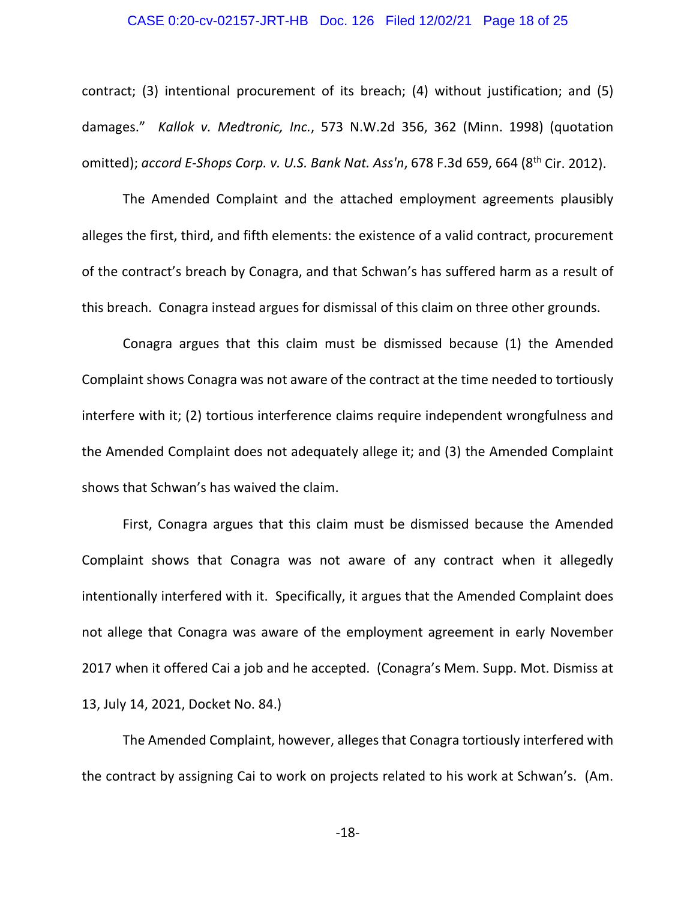#### CASE 0:20-cv-02157-JRT-HB Doc. 126 Filed 12/02/21 Page 18 of 25

contract; (3) intentional procurement of its breach; (4) without justification; and (5) damages." *Kallok v. Medtronic, Inc.*, 573 N.W.2d 356, 362 (Minn. 1998) (quotation omitted); *accord E-Shops Corp. v. U.S. Bank Nat. Ass'n*, 678 F.3d 659, 664 (8th Cir. 2012).

The Amended Complaint and the attached employment agreements plausibly alleges the first, third, and fifth elements: the existence of a valid contract, procurement of the contract's breach by Conagra, and that Schwan's has suffered harm as a result of this breach. Conagra instead argues for dismissal of this claim on three other grounds.

Conagra argues that this claim must be dismissed because (1) the Amended Complaint shows Conagra was not aware of the contract at the time needed to tortiously interfere with it; (2) tortious interference claims require independent wrongfulness and the Amended Complaint does not adequately allege it; and (3) the Amended Complaint shows that Schwan's has waived the claim.

First, Conagra argues that this claim must be dismissed because the Amended Complaint shows that Conagra was not aware of any contract when it allegedly intentionally interfered with it. Specifically, it argues that the Amended Complaint does not allege that Conagra was aware of the employment agreement in early November 2017 when it offered Cai a job and he accepted. (Conagra's Mem. Supp. Mot. Dismiss at 13, July 14, 2021, Docket No. 84.)

The Amended Complaint, however, alleges that Conagra tortiously interfered with the contract by assigning Cai to work on projects related to his work at Schwan's. (Am.

-18-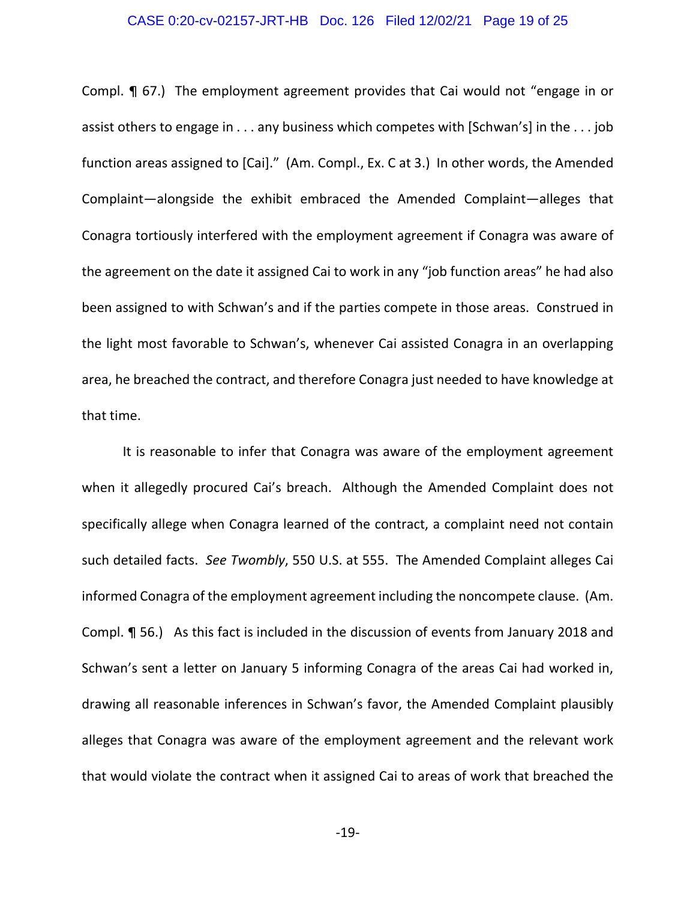#### CASE 0:20-cv-02157-JRT-HB Doc. 126 Filed 12/02/21 Page 19 of 25

Compl. ¶ 67.) The employment agreement provides that Cai would not "engage in or assist others to engage in . . . any business which competes with [Schwan's] in the . . . job function areas assigned to [Cai]." (Am. Compl., Ex. C at 3.) In other words, the Amended Complaint—alongside the exhibit embraced the Amended Complaint—alleges that Conagra tortiously interfered with the employment agreement if Conagra was aware of the agreement on the date it assigned Cai to work in any "job function areas" he had also been assigned to with Schwan's and if the parties compete in those areas. Construed in the light most favorable to Schwan's, whenever Cai assisted Conagra in an overlapping area, he breached the contract, and therefore Conagra just needed to have knowledge at that time.

It is reasonable to infer that Conagra was aware of the employment agreement when it allegedly procured Cai's breach. Although the Amended Complaint does not specifically allege when Conagra learned of the contract, a complaint need not contain such detailed facts. *See Twombly*, 550 U.S. at 555. The Amended Complaint alleges Cai informed Conagra of the employment agreement including the noncompete clause. (Am. Compl. ¶ 56.) As this fact is included in the discussion of events from January 2018 and Schwan's sent a letter on January 5 informing Conagra of the areas Cai had worked in, drawing all reasonable inferences in Schwan's favor, the Amended Complaint plausibly alleges that Conagra was aware of the employment agreement and the relevant work that would violate the contract when it assigned Cai to areas of work that breached the

-19-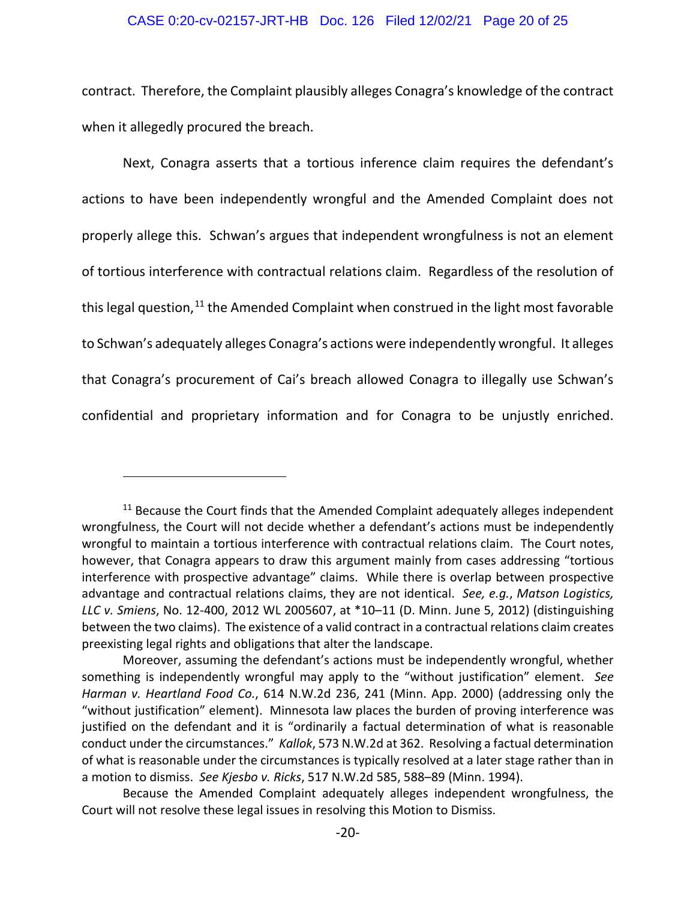#### CASE 0:20-cv-02157-JRT-HB Doc. 126 Filed 12/02/21 Page 20 of 25

contract. Therefore, the Complaint plausibly alleges Conagra's knowledge of the contract when it allegedly procured the breach.

Next, Conagra asserts that a tortious inference claim requires the defendant's actions to have been independently wrongful and the Amended Complaint does not properly allege this. Schwan's argues that independent wrongfulness is not an element of tortious interference with contractual relations claim. Regardless of the resolution of this legal question, $11$  the Amended Complaint when construed in the light most favorable to Schwan's adequately alleges Conagra's actions were independently wrongful. It alleges that Conagra's procurement of Cai's breach allowed Conagra to illegally use Schwan's confidential and proprietary information and for Conagra to be unjustly enriched.

<span id="page-19-0"></span> $11$  Because the Court finds that the Amended Complaint adequately alleges independent wrongfulness, the Court will not decide whether a defendant's actions must be independently wrongful to maintain a tortious interference with contractual relations claim. The Court notes, however, that Conagra appears to draw this argument mainly from cases addressing "tortious interference with prospective advantage" claims. While there is overlap between prospective advantage and contractual relations claims, they are not identical. *See, e.g.*, *Matson Logistics, LLC v. Smiens*, No. 12-400, 2012 WL 2005607, at \*10–11 (D. Minn. June 5, 2012) (distinguishing between the two claims). The existence of a valid contract in a contractual relations claim creates preexisting legal rights and obligations that alter the landscape.

Moreover, assuming the defendant's actions must be independently wrongful, whether something is independently wrongful may apply to the "without justification" element. *See Harman v. Heartland Food Co.*, 614 N.W.2d 236, 241 (Minn. App. 2000) (addressing only the "without justification" element). Minnesota law places the burden of proving interference was justified on the defendant and it is "ordinarily a factual determination of what is reasonable conduct under the circumstances." *Kallok*, 573 N.W.2d at 362. Resolving a factual determination of what is reasonable under the circumstances is typically resolved at a later stage rather than in a motion to dismiss. *See Kjesbo v. Ricks*, 517 N.W.2d 585, 588–89 (Minn. 1994).

Because the Amended Complaint adequately alleges independent wrongfulness, the Court will not resolve these legal issues in resolving this Motion to Dismiss.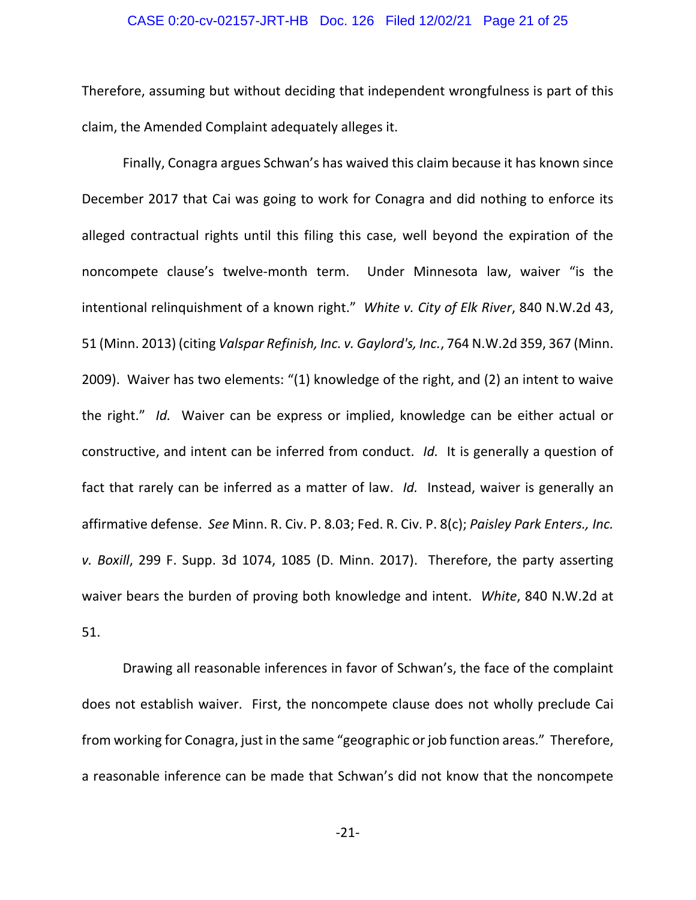#### CASE 0:20-cv-02157-JRT-HB Doc. 126 Filed 12/02/21 Page 21 of 25

Therefore, assuming but without deciding that independent wrongfulness is part of this claim, the Amended Complaint adequately alleges it.

Finally, Conagra argues Schwan's has waived this claim because it has known since December 2017 that Cai was going to work for Conagra and did nothing to enforce its alleged contractual rights until this filing this case, well beyond the expiration of the noncompete clause's twelve-month term. Under Minnesota law, waiver "is the intentional relinquishment of a known right." *White v. City of Elk River*, 840 N.W.2d 43, 51 (Minn. 2013) (citing *Valspar Refinish, Inc. v. Gaylord's, Inc.*, 764 N.W.2d 359, 367 (Minn. 2009). Waiver has two elements: "(1) knowledge of the right, and (2) an intent to waive the right." *Id.* Waiver can be express or implied, knowledge can be either actual or constructive, and intent can be inferred from conduct. *Id.* It is generally a question of fact that rarely can be inferred as a matter of law. *Id.* Instead, waiver is generally an affirmative defense. *See* Minn. R. Civ. P. 8.03; Fed. R. Civ. P. 8(c); *Paisley Park Enters., Inc. v. Boxill*, 299 F. Supp. 3d 1074, 1085 (D. Minn. 2017). Therefore, the party asserting waiver bears the burden of proving both knowledge and intent. *White*, 840 N.W.2d at 51.

Drawing all reasonable inferences in favor of Schwan's, the face of the complaint does not establish waiver. First, the noncompete clause does not wholly preclude Cai from working for Conagra, just in the same "geographic or job function areas." Therefore, a reasonable inference can be made that Schwan's did not know that the noncompete

-21-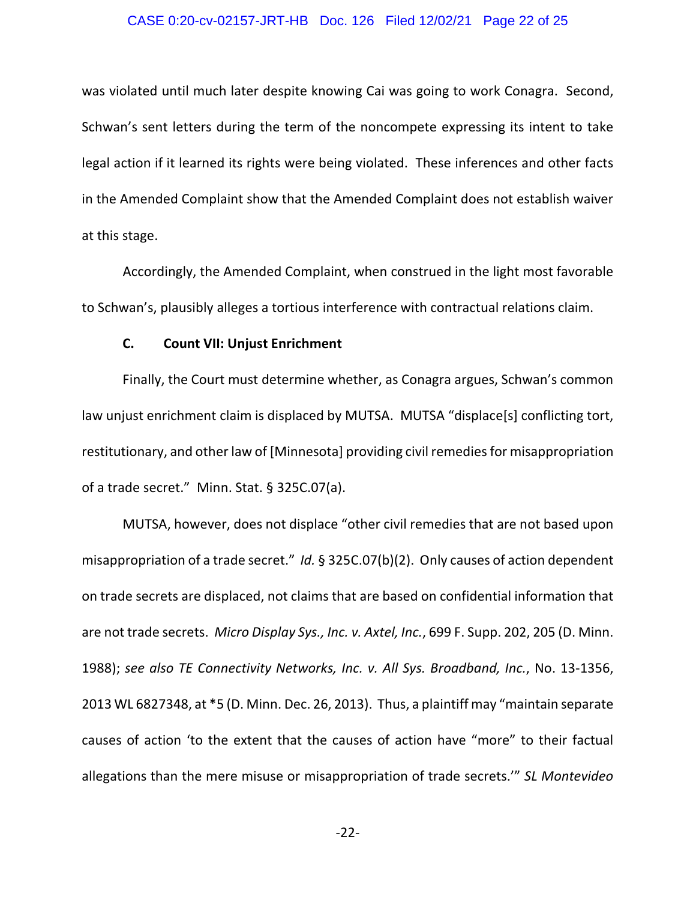#### CASE 0:20-cv-02157-JRT-HB Doc. 126 Filed 12/02/21 Page 22 of 25

was violated until much later despite knowing Cai was going to work Conagra. Second, Schwan's sent letters during the term of the noncompete expressing its intent to take legal action if it learned its rights were being violated. These inferences and other facts in the Amended Complaint show that the Amended Complaint does not establish waiver at this stage.

Accordingly, the Amended Complaint, when construed in the light most favorable to Schwan's, plausibly alleges a tortious interference with contractual relations claim.

## **C. Count VII: Unjust Enrichment**

Finally, the Court must determine whether, as Conagra argues, Schwan's common law unjust enrichment claim is displaced by MUTSA. MUTSA "displace[s] conflicting tort, restitutionary, and other law of [Minnesota] providing civil remedies for misappropriation of a trade secret." Minn. Stat. § 325C.07(a).

MUTSA, however, does not displace "other civil remedies that are not based upon misappropriation of a trade secret." *Id.* § 325C.07(b)(2). Only causes of action dependent on trade secrets are displaced, not claims that are based on confidential information that are not trade secrets. *Micro Display Sys., Inc. v. Axtel, Inc.*, 699 F. Supp. 202, 205 (D. Minn. 1988); *see also TE Connectivity Networks, Inc. v. All Sys. Broadband, Inc.*, No. 13-1356, 2013 WL 6827348, at \*5 (D. Minn. Dec. 26, 2013). Thus, a plaintiff may "maintain separate causes of action 'to the extent that the causes of action have "more" to their factual allegations than the mere misuse or misappropriation of trade secrets.'" *SL Montevideo*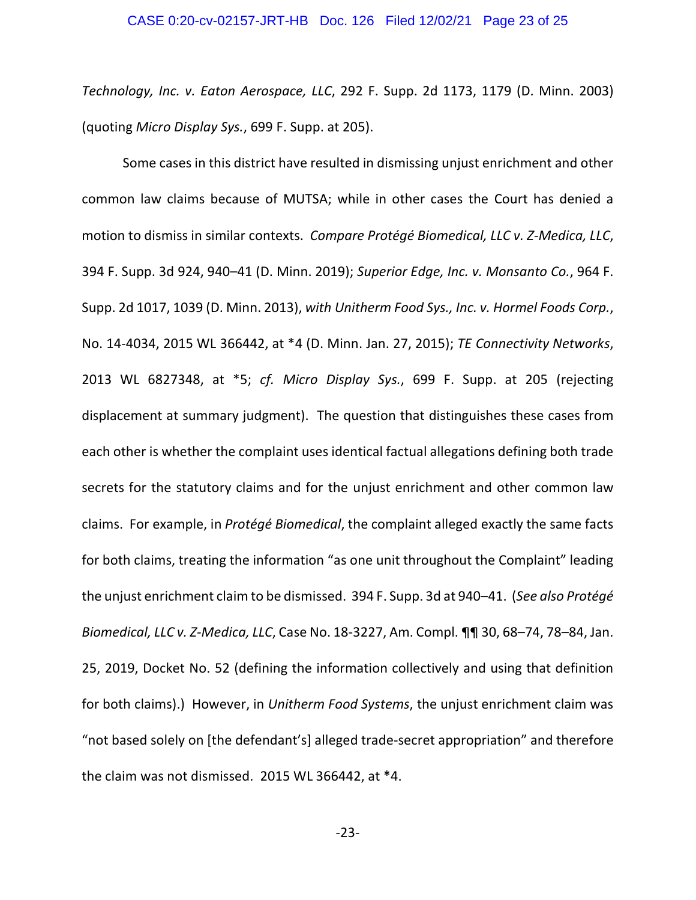*Technology, Inc. v. Eaton Aerospace, LLC*, 292 F. Supp. 2d 1173, 1179 (D. Minn. 2003) (quoting *Micro Display Sys.*, 699 F. Supp. at 205).

Some cases in this district have resulted in dismissing unjust enrichment and other common law claims because of MUTSA; while in other cases the Court has denied a motion to dismiss in similar contexts. *Compare Protégé Biomedical, LLC v. Z-Medica, LLC*, 394 F. Supp. 3d 924, 940–41 (D. Minn. 2019); *Superior Edge, Inc. v. Monsanto Co.*, 964 F. Supp. 2d 1017, 1039 (D. Minn. 2013), *with Unitherm Food Sys., Inc. v. Hormel Foods Corp.*, No. 14-4034, 2015 WL 366442, at \*4 (D. Minn. Jan. 27, 2015); *TE Connectivity Networks*, 2013 WL 6827348, at \*5; *cf. Micro Display Sys.*, 699 F. Supp. at 205 (rejecting displacement at summary judgment). The question that distinguishes these cases from each other is whether the complaint uses identical factual allegations defining both trade secrets for the statutory claims and for the unjust enrichment and other common law claims. For example, in *Protégé Biomedical*, the complaint alleged exactly the same facts for both claims, treating the information "as one unit throughout the Complaint" leading the unjust enrichment claim to be dismissed. 394 F. Supp. 3d at 940–41. (*See also Protégé Biomedical, LLC v. Z-Medica, LLC*, Case No. 18-3227, Am. Compl. ¶¶ 30, 68–74, 78–84, Jan. 25, 2019, Docket No. 52 (defining the information collectively and using that definition for both claims).) However, in *Unitherm Food Systems*, the unjust enrichment claim was "not based solely on [the defendant's] alleged trade-secret appropriation" and therefore the claim was not dismissed. 2015 WL 366442, at \*4.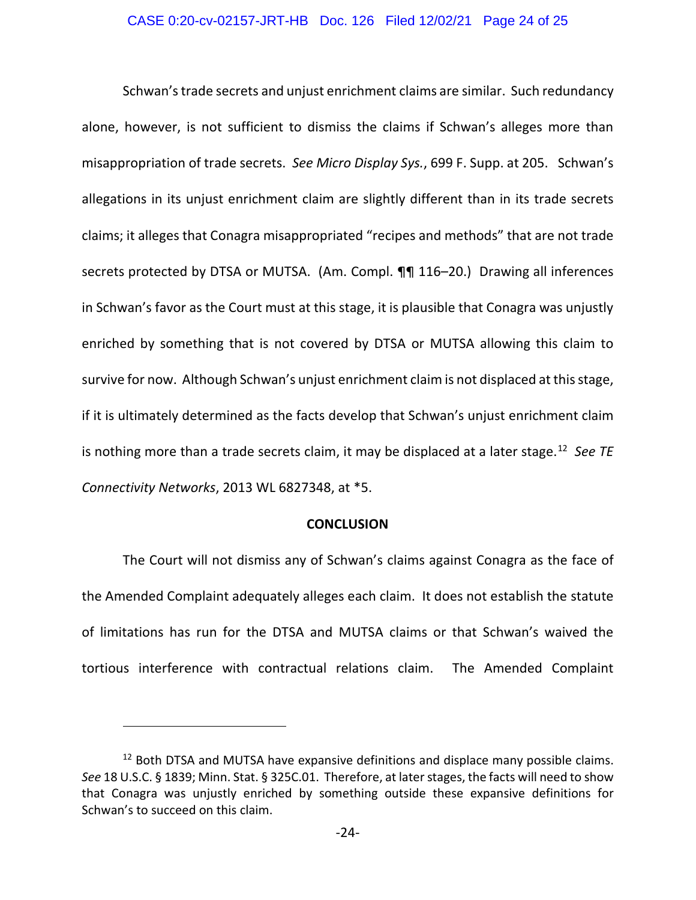#### CASE 0:20-cv-02157-JRT-HB Doc. 126 Filed 12/02/21 Page 24 of 25

Schwan's trade secrets and unjust enrichment claims are similar. Such redundancy alone, however, is not sufficient to dismiss the claims if Schwan's alleges more than misappropriation of trade secrets. *See Micro Display Sys.*, 699 F. Supp. at 205. Schwan's allegations in its unjust enrichment claim are slightly different than in its trade secrets claims; it alleges that Conagra misappropriated "recipes and methods" that are not trade secrets protected by DTSA or MUTSA. (Am. Compl. ¶¶ 116-20.) Drawing all inferences in Schwan's favor as the Court must at this stage, it is plausible that Conagra was unjustly enriched by something that is not covered by DTSA or MUTSA allowing this claim to survive for now. Although Schwan's unjust enrichment claim is not displaced at this stage, if it is ultimately determined as the facts develop that Schwan's unjust enrichment claim is nothing more than a trade secrets claim, it may be displaced at a later stage.[12](#page-23-0) *See TE Connectivity Networks*, 2013 WL 6827348, at \*5.

#### **CONCLUSION**

The Court will not dismiss any of Schwan's claims against Conagra as the face of the Amended Complaint adequately alleges each claim. It does not establish the statute of limitations has run for the DTSA and MUTSA claims or that Schwan's waived the tortious interference with contractual relations claim. The Amended Complaint

<span id="page-23-0"></span> $12$  Both DTSA and MUTSA have expansive definitions and displace many possible claims. *See* 18 U.S.C. § 1839; Minn. Stat. § 325C.01. Therefore, at later stages, the facts will need to show that Conagra was unjustly enriched by something outside these expansive definitions for Schwan's to succeed on this claim.